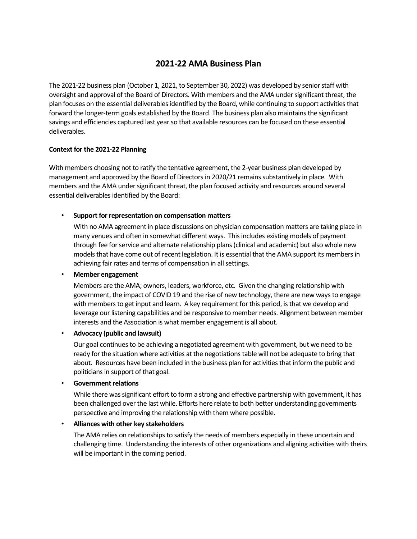# **2021-22 AMA Business Plan**

The 2021-22 business plan (October 1, 2021, to September 30, 2022) was developed by senior staff with oversight and approval of the Board of Directors. With members and the AMA under significant threat, the plan focuses on the essential deliverables identified by the Board, while continuing to support activities that forward the longer-term goals established by the Board. The business plan also maintains the significant savings and efficiencies captured last year so that available resources can be focused on these essential deliverables.

# **Context for the 2021-22 Planning**

With members choosing not to ratify the tentative agreement, the 2-year business plan developed by management and approved by the Board of Directors in 2020/21 remains substantively in place. With members and the AMA under significant threat, the plan focused activity and resources around several essential deliverables identified by the Board:

# • **Support for representation on compensation matters**

With no AMA agreement in place discussions on physician compensation matters are taking place in many venues and often in somewhat different ways. This includes existing models of payment through fee for service and alternate relationship plans (clinical and academic) but also whole new models that have come out of recent legislation. It is essential that the AMA support its members in achieving fair rates and terms of compensation in all settings.

# • **Member engagement**

Members are the AMA; owners, leaders, workforce, etc. Given the changing relationship with government, the impact of COVID 19 and the rise of new technology, there are new ways to engage with members to get input and learn. A key requirement for this period, is that we develop and leverage our listening capabilities and be responsive to member needs. Alignment between member interests and the Association is what member engagement is all about.

# • **Advocacy (public and lawsuit)**

Our goal continues to be achieving a negotiated agreement with government, but we need to be ready for the situation where activities at the negotiations table will not be adequate to bring that about. Resources have been included in the business plan for activities that inform the public and politicians in support of that goal.

# • **Government relations**

While there was significant effort to form a strong and effective partnership with government, it has been challenged over the last while. Efforts here relate to both better understanding governments perspective and improving the relationship with them where possible.

# • **Alliances with other key stakeholders**

The AMA relies on relationships to satisfy the needs of members especially in these uncertain and challenging time. Understanding the interests of other organizations and aligning activities with theirs will be important in the coming period.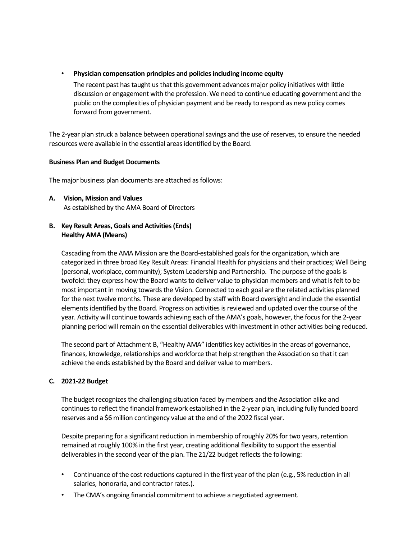• **Physician compensation principles and policies including income equity** 

The recent past has taught us that this government advances major policy initiatives with little discussion or engagement with the profession. We need to continue educating government and the public on the complexities of physician payment and be ready to respond as new policy comes forward from government.

The 2-year plan struck a balance between operational savings and the use of reserves, to ensure the needed resources were available in the essential areas identified by the Board.

# **Business Plan and Budget Documents**

The major business plan documents are attached as follows:

**A. Vision, Mission and Values** As established by the AMA Board of Directors

# **B. Key Result Areas, Goals and Activities (Ends) Healthy AMA (Means)**

Cascading from the AMA Mission are the Board-established goals for the organization, which are categorized in three broad Key Result Areas: Financial Health for physicians and their practices; Well Being (personal, workplace, community); System Leadership and Partnership. The purpose of the goals is twofold: they express how the Board wants to deliver value to physician members and what is felt to be most important in moving towards the Vision. Connected to each goal are the related activities planned for the next twelve months. These are developed by staff with Board oversight and include the essential elements identified by the Board. Progress on activities is reviewed and updated over the course of the year. Activity will continue towards achieving each of the AMA's goals, however, the focus for the 2-year planning period will remain on the essential deliverables with investment in other activities being reduced.

The second part of Attachment B, "Healthy AMA" identifies key activities in the areas of governance, finances, knowledge, relationships and workforce that help strengthen the Association so that it can achieve the ends established by the Board and deliver value to members.

# **C. 2021-22 Budget**

The budget recognizes the challenging situation faced by members and the Association alike and continues to reflect the financial framework established in the 2-year plan, including fully funded board reserves and a \$6 million contingency value at the end of the 2022 fiscal year.

Despite preparing for a significant reduction in membership of roughly 20% for two years, retention remained at roughly 100% in the first year, creating additional flexibility to support the essential deliverables in the second year of the plan. The 21/22 budget reflects the following:

- Continuance of the cost reductions captured in the first year of the plan (e.g., 5% reduction in all salaries, honoraria, and contractor rates.).
- The CMA's ongoing financial commitment to achieve a negotiated agreement.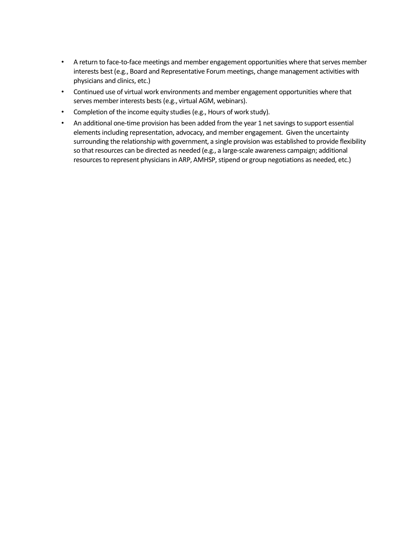- A return to face-to-face meetings and member engagement opportunities where that serves member interests best (e.g., Board and Representative Forum meetings, change management activities with physicians and clinics, etc.)
- Continued use of virtual work environments and member engagement opportunities where that serves member interests bests (e.g., virtual AGM, webinars).
- Completion of the income equity studies (e.g., Hours of work study).
- An additional one-time provision has been added from the year 1 net savings to support essential elements including representation, advocacy, and member engagement. Given the uncertainty surrounding the relationship with government, a single provision was established to provide flexibility so that resources can be directed as needed (e.g., a large-scale awareness campaign; additional resources to represent physicians in ARP, AMHSP, stipend or group negotiations as needed, etc.)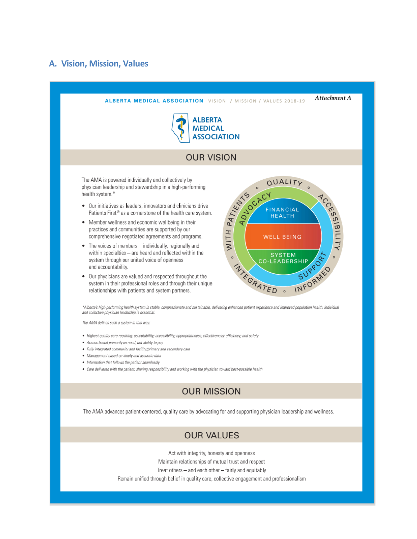# **A. Vision, Mission, Values**



Treat others - and each other - fairly and equitably

Remain unified through belief in quality care, collective engagement and professionalism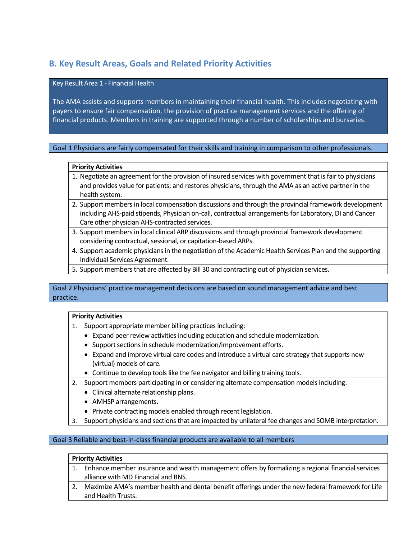# **B. Key Result Areas, Goals and Related Priority Activities**

## Key Result Area 1 - Financial Health

The AMA assists and supports members in maintaining their financial health. This includes negotiating with payers to ensure fair compensation, the provision of practice management services and the offering of financial products. Members in training are supported through a number of scholarships and bursaries.

# Goal 1 Physicians are fairly compensated for their skills and training in comparison to other professionals.

### **Priority Activities**

- 1. Negotiate an agreement for the provision of insured services with government that is fair to physicians and provides value for patients; and restores physicians, through the AMA as an active partner in the health system.
- 2. Support members in local compensation discussions and through the provincial framework development including AHS-paid stipends, Physician on-call, contractual arrangements for Laboratory, DI and Cancer Care other physician AHS-contracted services.
- 3. Support members in local clinical ARP discussions and through provincial framework development considering contractual, sessional, or capitation-based ARPs.
- 4. Support academic physicians in the negotiation of the Academic Health Services Plan and the supporting Individual Services Agreement.
- 5. Support members that are affected by Bill 30 and contracting out of physician services.

# Goal 2 Physicians' practice management decisions are based on sound management advice and best practice.

# **Priority Activities**

- 1. Support appropriate member billing practices including:
	- Expand peer review activities including education and schedule modernization.
	- Support sections in schedule modernization/improvement efforts.
	- Expand and improve virtual care codes and introduce a virtual care strategy that supports new (virtual) models of care.
	- Continue to develop tools like the fee navigator and billing training tools.
- 2. Support members participating in or considering alternate compensation modelsincluding:
	- Clinical alternate relationship plans.
	- AMHSP arrangements.
	- Private contracting models enabled through recent legislation.
- 3. Support physicians and sections that are impacted by unilateral fee changes and SOMB interpretation.

# Goal 3 Reliable and best-in-class financial products are available to all members

#### **Priority Activities**

- 1. Enhance member insurance and wealth management offers by formalizing a regional financial services alliance with MD Financial and BNS.
- 2. Maximize AMA's member health and dental benefit offerings under the new federal framework for Life and Health Trusts.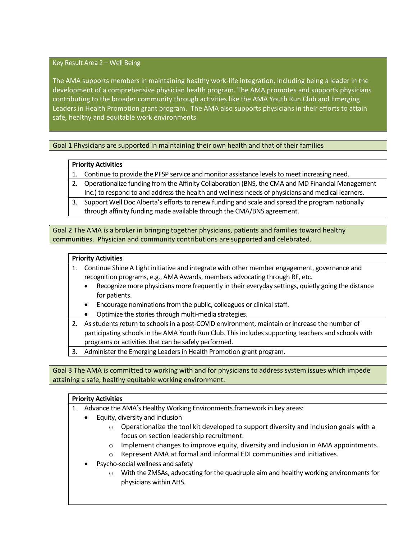## Key Result Area 2 – Well Being

The AMA supports members in maintaining healthy work-life integration, including being a leader in the development of a comprehensive physician health program. The AMA promotes and supports physicians contributing to the broader community through activities like the AMA Youth Run Club and Emerging Leaders in Health Promotion grant program. The AMA also supports physicians in their efforts to attain safe, healthy and equitable work environments.

# Goal 1 Physicians are supported in maintaining their own health and that of their families

### **Priority Activities**

1. Continue to provide the PFSP service and monitor assistance levels to meet increasing need.

- 2. Operationalize funding from the Affinity Collaboration (BNS, the CMA and MD Financial Management Inc.) to respond to and address the health and wellness needs of physicians and medical learners.
- 3. Support Well Doc Alberta's efforts to renew funding and scale and spread the program nationally through affinity funding made available through the CMA/BNS agreement.

Goal 2 The AMA is a broker in bringing together physicians, patients and families toward healthy communities. Physician and community contributions are supported and celebrated.

#### **Priority Activities**

- 1. Continue Shine A Light initiative and integrate with other member engagement, governance and recognition programs, e.g., AMA Awards, members advocating through RF, etc.
	- Recognize more physicians more frequently in their everyday settings, quietly going the distance for patients.
	- Encourage nominations from the public, colleagues or clinical staff.
	- Optimize the stories through multi-media strategies.
- 2. As students return to schools in a post-COVID environment, maintain or increase the number of participating schools in the AMA Youth Run Club. This includes supporting teachers and schools with programs or activities that can be safely performed.
- 3. Administer the Emerging Leaders in Health Promotion grant program.

Goal 3 The AMA is committed to working with and for physicians to address system issues which impede attaining a safe, healthy equitable working environment.

#### **Priority Activities**

- 1. Advance the AMA's Healthy Working Environments framework in key areas:
	- Equity, diversity and inclusion
		- $\circ$  Operationalize the tool kit developed to support diversity and inclusion goals with a focus on section leadership recruitment.
		- o Implement changes to improve equity, diversity and inclusion in AMA appointments.
		- $\circ$  Represent AMA at formal and informal EDI communities and initiatives.
	- Psycho-social wellness and safety
		- $\circ$  With the ZMSAs, advocating for the quadruple aim and healthy working environments for physicians within AHS.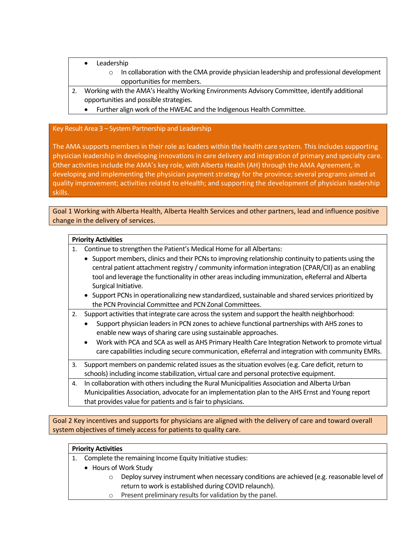- **Leadership** 
	- $\circ$  In collaboration with the CMA provide physician leadership and professional development opportunities for members.
- 2. Working with the AMA's Healthy Working Environments Advisory Committee, identify additional opportunities and possible strategies.
	- Further align work of the HWEAC and the Indigenous Health Committee.

# Key Result Area 3 – System Partnership and Leadership

The AMA supports members in their role as leaders within the health care system. This includes supporting physician leadership in developing innovations in care delivery and integration of primary and specialty care. Other activities include the AMA's key role, with Alberta Health (AH) through the AMA Agreement, in developing and implementing the physician payment strategy for the province; several programs aimed at quality improvement; activities related to eHealth; and supporting the development of physician leadership skills.

Goal 1 Working with Alberta Health, Alberta Health Services and other partners, lead and influence positive change in the delivery of services.

### **Priority Activities**

- 1. Continue to strengthen the Patient's Medical Home for all Albertans:
	- Support members, clinics and their PCNs to improving relationship continuity to patients using the central patient attachment registry / community information integration (CPAR/CII) as an enabling tool and leverage the functionality in other areas including immunization, eReferral and Alberta Surgical Initiative.
	- Support PCNs in operationalizing new standardized, sustainable and shared services prioritized by the PCN Provincial Committee and PCN Zonal Committees.

2. Support activities that integrate care across the system and support the health neighborhood:

- Support physician leaders in PCN zones to achieve functional partnerships with AHS zones to enable new ways of sharing care using sustainable approaches.
- Work with PCA and SCA as well as AHS Primary Health Care Integration Network to promote virtual care capabilities including secure communication, eReferral and integration with community EMRs.
- 3. Support members on pandemic related issues as the situation evolves (e.g. Care deficit, return to schools) including income stabilization, virtual care and personal protective equipment.
- 4. In collaboration with others including the Rural Municipalities Association and Alberta Urban Municipalities Association, advocate for an implementation plan to the AHS Ernst and Young report that provides value for patients and is fair to physicians.

Goal 2 Key incentives and supports for physicians are aligned with the delivery of care and toward overall system objectives of timely access for patients to quality care.

| <b>Priority Activities</b> |  |
|----------------------------|--|
|----------------------------|--|

- 1. Complete the remaining Income Equity Initiative studies:
	- Hours of Work Study
		- $\circ$  Deploy survey instrument when necessary conditions are achieved (e.g. reasonable level of return to work is established during COVID relaunch).
		- Present preliminary results for validation by the panel.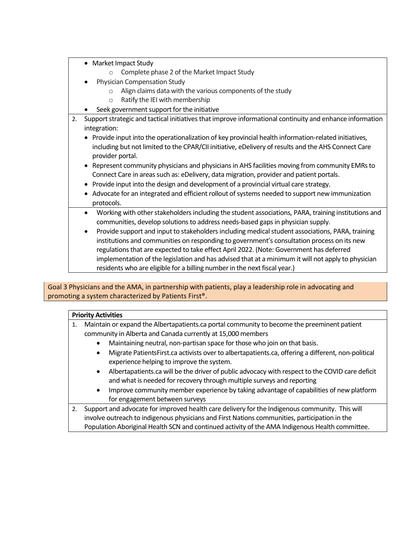|    | • Market Impact Study                                                                                         |
|----|---------------------------------------------------------------------------------------------------------------|
|    | Complete phase 2 of the Market Impact Study                                                                   |
|    | Physician Compensation Study                                                                                  |
|    | Align claims data with the various components of the study<br>$\circ$                                         |
|    | Ratify the IEI with membership<br>$\circ$                                                                     |
|    | Seek government support for the initiative                                                                    |
| 2. | Support strategic and tactical initiatives that improve informational continuity and enhance information      |
|    | integration:                                                                                                  |
|    | Provide input into the operationalization of key provincial health information-related initiatives,           |
|    | including but not limited to the CPAR/CII initiative, eDelivery of results and the AHS Connect Care           |
|    | provider portal.                                                                                              |
|    | Represent community physicians and physicians in AHS facilities moving from community EMRs to<br>$\bullet$    |
|    | Connect Care in areas such as: eDelivery, data migration, provider and patient portals.                       |
|    | • Provide input into the design and development of a provincial virtual care strategy.                        |
|    | • Advocate for an integrated and efficient rollout of systems needed to support new immunization              |
|    | protocols.                                                                                                    |
|    | Working with other stakeholders including the student associations, PARA, training institutions and           |
|    | communities, develop solutions to address needs-based gaps in physician supply.                               |
|    | Provide support and input to stakeholders including medical student associations, PARA, training<br>$\bullet$ |
|    | institutions and communities on responding to government's consultation process on its new                    |
|    | regulations that are expected to take effect April 2022. (Note: Government has deferred                       |
|    | implementation of the legislation and has advised that at a minimum it will not apply to physician            |
|    | residents who are eligible for a billing number in the next fiscal year.)                                     |

Goal 3 Physicians and the AMA, in partnership with patients, play a leadership role in advocating and promoting a system characterized by Patients First®.

# **Priority Activities**

| Maintain or expand the Albertapatients.ca portal community to become the preeminent patient |  |  |  |  |
|---------------------------------------------------------------------------------------------|--|--|--|--|
| community in Alberta and Canada currently at 15,000 members                                 |  |  |  |  |
| Maintaining neutral, non-partisan space for those who join on that basis.                   |  |  |  |  |

- Migrate PatientsFirst.ca activists over to albertapatients.ca, offering a different, non-political experience helping to improve the system.
- Albertapatients.ca will be the driver of public advocacy with respect to the COVID care deficit and what is needed for recovery through multiple surveys and reporting
- Improve community member experience by taking advantage of capabilities of new platform for engagement between surveys
- 2. Support and advocate for improved health care delivery for the Indigenous community. This will involve outreach to indigenous physicians and First Nations communities, participation in the Population Aboriginal Health SCN and continued activity of the AMA Indigenous Health committee.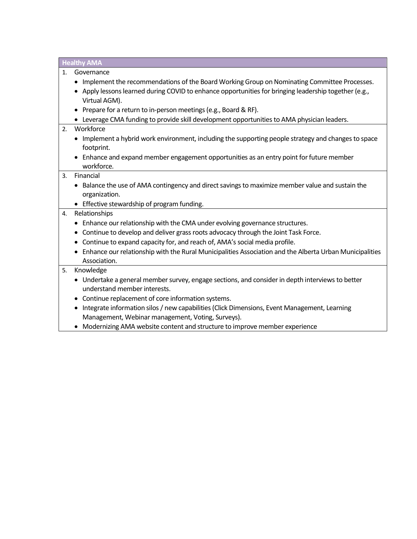**Healthy AMA**

- 1. Governance
	- Implement the recommendations of the Board Working Group on Nominating Committee Processes.
	- Apply lessons learned during COVID to enhance opportunities for bringing leadership together (e.g., Virtual AGM).
	- Prepare for a return to in-person meetings (e.g., Board & RF).
	- Leverage CMA funding to provide skill development opportunities to AMA physician leaders.

## 2. Workforce

- Implement a hybrid work environment, including the supporting people strategy and changes to space footprint.
- Enhance and expand member engagement opportunities as an entry point for future member workforce.

#### 3. Financial

- Balance the use of AMA contingency and direct savings to maximize member value and sustain the organization.
- Effective stewardship of program funding.

# 4. Relationships

- Enhance our relationship with the CMA under evolving governance structures.
- Continue to develop and deliver grass roots advocacy through the Joint Task Force.
- Continue to expand capacity for, and reach of, AMA's social media profile.
- Enhance our relationship with the Rural Municipalities Association and the Alberta Urban Municipalities Association.

## 5. Knowledge

- Undertake a general member survey, engage sections, and consider in depth interviews to better understand member interests.
- Continue replacement of core information systems.
- Integrate information silos / new capabilities (Click Dimensions, Event Management, Learning Management, Webinar management, Voting, Surveys).
- Modernizing AMA website content and structure to improve member experience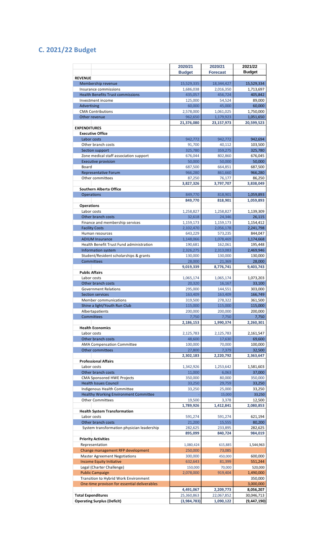# **C. 2021/22 Budget**

|                                                                         | 2020/21                | 2020/21                | 2021/22                |
|-------------------------------------------------------------------------|------------------------|------------------------|------------------------|
|                                                                         | <b>Budget</b>          | <b>Forecast</b>        | <b>Budget</b>          |
| <b>REVENUE</b>                                                          |                        |                        |                        |
| Membership revenue                                                      | 15,529,335             | 18,344,427             | 15,529,334             |
| Insurance commissions                                                   | 1,686,038              | 2,016,350              | 1,713,697              |
| <b>Health Benefits Trust commissions</b>                                | 435,057                | 456,724                | 405,842                |
| Investment income                                                       | 125,000                | 54,524                 | 89,000                 |
| Advertising<br><b>CMA Contributions</b>                                 | 60,000<br>2,578,000    | 45,000<br>1,061,025    | 60,000<br>1,750,000    |
| Other revenue                                                           | 962,650                | 1,179,923              | 1,051,650              |
|                                                                         | 21,376,080             | 23,157,973             | 20,599,523             |
| <b>EXPENDITURES</b>                                                     |                        |                        |                        |
| <b>Executive Office</b>                                                 |                        |                        |                        |
| Labor costs                                                             | 942,772                | 942,772                | 942,694                |
| Other branch costs                                                      | 91,700                 | 40,112                 | 103,500                |
| Section support                                                         | 325,780                | 359,275                | 325,780                |
| Zone medical staff association support                                  | 676,044                | 802,860                | 676,045                |
| <b>Executive provision</b><br>Board                                     | 50,000                 | 50,000                 | 50,000<br>687,500      |
| <b>Representative Forum</b>                                             | 687,500<br>966,280     | 664,851<br>861,660     | 966,280                |
| Other committees                                                        | 87,250                 | 76,177                 | 86,250                 |
|                                                                         | 3,827,326              | 3,797,707              | 3,838,049              |
| <b>Southern Alberta Office</b>                                          |                        |                        |                        |
| <b>Operations</b>                                                       | 849,770                | 818,901                | 1,059,893              |
|                                                                         | 849,770                | 818,901                | 1,059,893              |
| <b>Operations</b>                                                       |                        |                        |                        |
| Labor costs                                                             | 1,258,827              | 1,258,827              | 1,139,309              |
| Other branch costs                                                      | 32,618                 | 24,346                 | 26,115                 |
| Finance and membership services<br><b>Facility Costs</b>                | 1,159,173<br>2,102,470 | 1,159,173<br>2,056,178 | 1,154,412<br>2,241,798 |
| Human resources                                                         | 643,229                | 573,235                | 844,047                |
| <b>ADIUM Insurance</b>                                                  | 1,148,066              | 1,078,469              | 1,174,668              |
| Health Benefit Trust Fund administration                                | 190,681                | 162,061                | 195,448                |
| Information system                                                      | 2,326,275              | 2,313,083              | 2,469,946              |
| Student/Resident scholarships & grants                                  | 130,000                | 130,000                | 130,000                |
| <b>Committees</b>                                                       | 28,000                 | 21,369                 | 28,000                 |
|                                                                         | 9,019,339              | 8,776,741              | 9,403,743              |
| <b>Public Affairs</b>                                                   |                        |                        |                        |
| Labor costs<br>Other branch costs                                       | 1,065,174<br>20,320    | 1,065,174              | 1,073,203<br>33,100    |
| <b>Government Relations</b>                                             | 295,000                | 16,167<br>144.551      | 303,000                |
| <b>Section services</b>                                                 | 163,409                | 163,409                | 166,749                |
| Member communications                                                   | 319,500                | 278,322                | 361,500                |
| Shine a light/Youth Run Club                                            | 115,000                | 115,000                | 115,000                |
| Albertapatients                                                         | 200,000                | 200,000                | 200,000                |
| <b>Committees</b>                                                       | 7,750                  | 7,750                  | 7,750                  |
|                                                                         | 2,186,153              | 1,990,374              | 2,260,301              |
| <b>Health Economics</b>                                                 |                        |                        |                        |
| Labor costs                                                             | 2,125,783              | 2,125,783              | 2,161,547              |
| Other branch costs<br><b>AMA Compensation Committee</b>                 | 48,600<br>100,000      | 17,630                 | 69,600<br>100,000      |
| Other committees                                                        | 27,800                 | 70,000<br>7,379        | 32,500                 |
|                                                                         | 2,302,183              | 2,220,792              | 2,363,647              |
| <b>Professional Affairs</b>                                             |                        |                        |                        |
| Labor costs                                                             | 1,342,926              | 1,253,642              | 1,581,603              |
| Other branch costs                                                      | 11,000                 | 6,063                  | 37,000                 |
| CMA Sponsored HWE Projects                                              | 350,000                | 80,000                 | 350,000                |
| <b>Health Issues Council</b>                                            | 33,250                 | 29,759                 | 33,250                 |
| Indigenous Health Committee                                             | 33,250                 | 25,000                 | 33,250                 |
| <b>Healthy Working Environment Committee</b><br><b>Other Committees</b> |                        | 15,000                 | 33,250                 |
|                                                                         | 19,500<br>1,789,926    | 3,378<br>1,412,841     | 12,500<br>2,080,853    |
| <b>Health System Transformation</b>                                     |                        |                        |                        |
| Labor costs                                                             | 591,274                | 591,274                | 621,194                |
| Other branch costs                                                      | 21,200                 | 15,555                 | 80,200                 |
| System transformation physician leadership                              | 282,625                | 233,895                | 282,625                |
|                                                                         | 895,099                | 840,724                | 984,019                |
| <b>Priority Activities</b>                                              |                        |                        |                        |
| Representation                                                          | 1,080,424              | 615,885                | 1,544,963              |
| Change management RFP development                                       | 250,000                | 73,085                 |                        |
| <b>Master Agreement Negotiations</b>                                    | 300,000                | 450,000                | 600,000                |
| <b>Income Equity Initiative</b><br>Legal (Charter Challenge)            | 632,643                | 81,399                 | 551,244                |
| <b>Public Campaign</b>                                                  | 150,000<br>2,078,000   | 70,000<br>919,404      | 520,000<br>1,490,000   |
| Transition to Hybrid Work Environment                                   |                        |                        | 350,000                |
| One-time provison for essential deliverables                            |                        |                        | 3,000,000              |
|                                                                         | 4,491,067              | 2,209,773              | 8,056,207              |
| <b>Total Expenditures</b>                                               | 25,360,863             | 22,067,852             | 30,046,713             |
| <b>Operating Surplus (Deficit)</b>                                      | (3,984,783)            | 1,090,122              | (9,447,190)            |